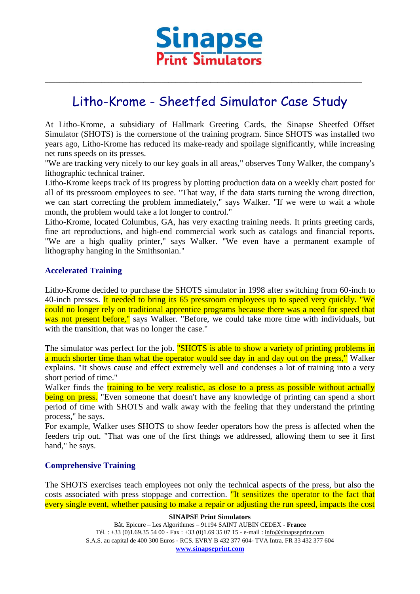

# Litho-Krome - Sheetfed Simulator Case Study

\_\_\_\_\_\_\_\_\_\_\_\_\_\_\_\_\_\_\_\_\_\_\_\_\_\_\_\_\_\_\_\_\_\_\_\_\_\_\_\_\_\_\_\_\_\_\_\_\_\_\_\_\_\_\_\_\_\_\_\_\_\_\_\_\_\_\_\_\_\_\_\_\_\_\_\_\_\_\_\_\_\_\_\_\_\_\_\_\_\_

At Litho-Krome, a subsidiary of Hallmark Greeting Cards, the Sinapse Sheetfed Offset Simulator (SHOTS) is the cornerstone of the training program. Since SHOTS was installed two years ago, Litho-Krome has reduced its make-ready and spoilage significantly, while increasing net runs speeds on its presses.

"We are tracking very nicely to our key goals in all areas," observes Tony Walker, the company's lithographic technical trainer.

Litho-Krome keeps track of its progress by plotting production data on a weekly chart posted for all of its pressroom employees to see. "That way, if the data starts turning the wrong direction, we can start correcting the problem immediately," says Walker. "If we were to wait a whole month, the problem would take a lot longer to control."

Litho-Krome, located Columbus, GA, has very exacting training needs. It prints greeting cards, fine art reproductions, and high-end commercial work such as catalogs and financial reports. "We are a high quality printer," says Walker. "We even have a permanent example of lithography hanging in the Smithsonian."

## **Accelerated Training**

Litho-Krome decided to purchase the SHOTS simulator in 1998 after switching from 60-inch to 40-inch presses. It needed to bring its 65 pressroom employees up to speed very quickly. "We could no longer rely on traditional apprentice programs because there was a need for speed that was not present before," says Walker. "Before, we could take more time with individuals, but with the transition, that was no longer the case."

The simulator was perfect for the job. "SHOTS is able to show a variety of printing problems in a much shorter time than what the operator would see day in and day out on the press," Walker explains. "It shows cause and effect extremely well and condenses a lot of training into a very short period of time."

Walker finds the training to be very realistic, as close to a press as possible without actually being on press. "Even someone that doesn't have any knowledge of printing can spend a short period of time with SHOTS and walk away with the feeling that they understand the printing process," he says.

For example, Walker uses SHOTS to show feeder operators how the press is affected when the feeders trip out. "That was one of the first things we addressed, allowing them to see it first hand," he says.

#### **Comprehensive Training**

The SHOTS exercises teach employees not only the technical aspects of the press, but also the costs associated with press stoppage and correction. The sensitizes the operator to the fact that every single event, whether pausing to make a repair or adjusting the run speed, impacts the cost

> **SINAPSE Print Simulators** Bât. Epicure – Les Algorithmes – 91194 SAINT AUBIN CEDEX - **France** Tél. : +33 (0)1.69.35 54 00 - Fax : +33 (0)1.69 35 07 15 - e-mail : info@sinapseprint.com S.A.S. au capital de 400 300 Euros - RCS. EVRY B 432 377 604- TVA Intra. FR 33 432 377 604 **[www.sinapseprint.com](http://www.sinapseprint.com/)**